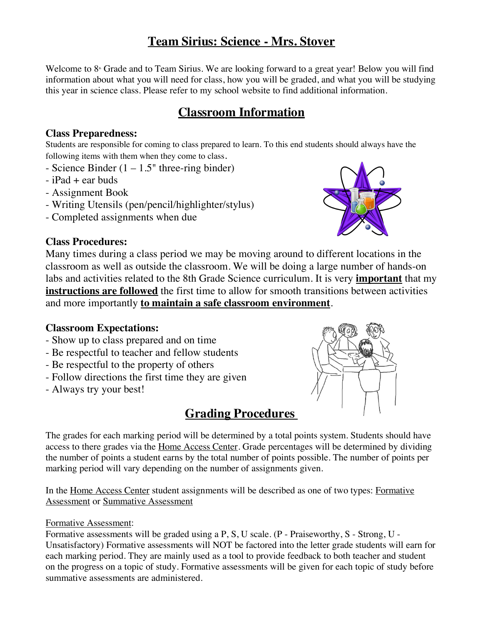# **Team Sirius: Science - Mrs. Stover**

Welcome to  $8<sup>*</sup>$  Grade and to Team Sirius. We are looking forward to a great year! Below you will find information about what you will need for class, how you will be graded, and what you will be studying this year in science class. Please refer to my school website to find additional information.

# **Classroom Information**

## **Class Preparedness:**

Students are responsible for coming to class prepared to learn. To this end students should always have the following items with them when they come to class.

- Science Binder  $(1 1.5)$ " three-ring binder)
- $-$  iPad  $+$  ear buds
- Assignment Book
- Writing Utensils (pen/pencil/highlighter/stylus)
- Completed assignments when due

## **Class Procedures:**

Many times during a class period we may be moving around to different locations in the classroom as well as outside the classroom. We will be doing a large number of hands-on labs and activities related to the 8th Grade Science curriculum. It is very **important** that my **instructions are followed** the first time to allow for smooth transitions between activities and more importantly **to maintain a safe classroom environment**.

## **Classroom Expectations:**

- Show up to class prepared and on time
- Be respectful to teacher and fellow students
- Be respectful to the property of others
- Follow directions the first time they are given
- Always try your best!

# **Grading Procedures**

The grades for each marking period will be determined by a total points system. Students should have access to there grades via the Home Access Center. Grade percentages will be determined by dividing the number of points a student earns by the total number of points possible. The number of points per marking period will vary depending on the number of assignments given.

In the Home Access Center student assignments will be described as one of two types: Formative Assessment or Summative Assessment

#### Formative Assessment:

Formative assessments will be graded using a P, S, U scale. (P - Praiseworthy, S - Strong, U - Unsatisfactory) Formative assessments will NOT be factored into the letter grade students will earn for each marking period. They are mainly used as a tool to provide feedback to both teacher and student on the progress on a topic of study. Formative assessments will be given for each topic of study before summative assessments are administered.